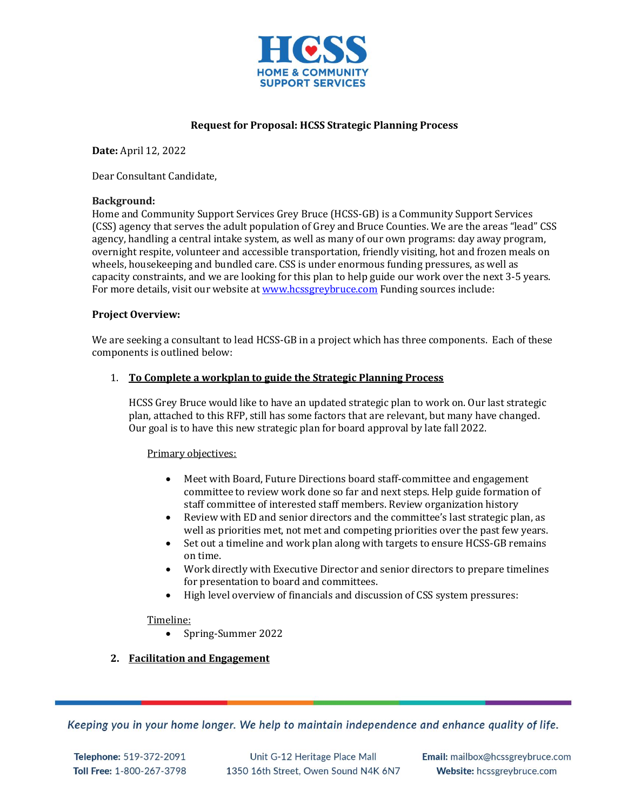

# **Request for Proposal: HCSS Strategic Planning Process**

**Date:** April 12, 2022

Dear Consultant Candidate,

### **Background:**

Home and Community Support Services Grey Bruce (HCSS-GB) is a Community Support Services (CSS) agency that serves the adult population of Grey and Bruce Counties. We are the areas "lead" CSS agency, handling a central intake system, as well as many of our own programs: day away program, overnight respite, volunteer and accessible transportation, friendly visiting, hot and frozen meals on wheels, housekeeping and bundled care. CSS is under enormous funding pressures, as well as capacity constraints, and we are looking for this plan to help guide our work over the next 3-5 years. For more details, visit our website at [www.hcssgreybruce.com](http://www.hcssgreybruce.com/) Funding sources include:

### **Project Overview:**

We are seeking a consultant to lead HCSS-GB in a project which has three components. Each of these components is outlined below:

### 1. **To Complete a workplan to guide the Strategic Planning Process**

HCSS Grey Bruce would like to have an updated strategic plan to work on. Our last strategic plan, attached to this RFP, still has some factors that are relevant, but many have changed. Our goal is to have this new strategic plan for board approval by late fall 2022.

#### Primary objectives:

- Meet with Board, Future Directions board staff-committee and engagement committee to review work done so far and next steps. Help guide formation of staff committee of interested staff members. Review organization history
- Review with ED and senior directors and the committee's last strategic plan, as well as priorities met, not met and competing priorities over the past few years.
- Set out a timeline and work plan along with targets to ensure HCSS-GB remains on time.
- Work directly with Executive Director and senior directors to prepare timelines for presentation to board and committees.
- High level overview of financials and discussion of CSS system pressures:

## Timeline:

• Spring-Summer 2022

# **2. Facilitation and Engagement**

Keeping you in your home longer. We help to maintain independence and enhance quality of life.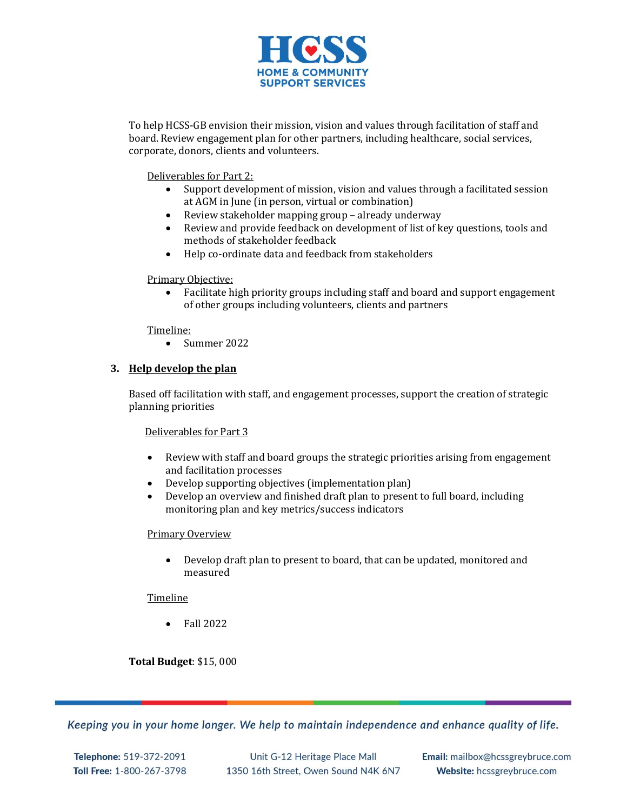

To help HCSS-GB envision their mission, vision and values through facilitation of staff and board. Review engagement plan for other partners, including healthcare, social services, corporate, donors, clients and volunteers.

Deliverables for Part 2:

- Support development of mission, vision and values through a facilitated session at AGM in June (in person, virtual or combination)
- Review stakeholder mapping group already underway
- Review and provide feedback on development of list of key questions, tools and methods of stakeholder feedback
- Help co-ordinate data and feedback from stakeholders

### Primary Objective:

 Facilitate high priority groups including staff and board and support engagement of other groups including volunteers, clients and partners

### Timeline:

• Summer 2022

## **3. Help develop the plan**

Based off facilitation with staff, and engagement processes, support the creation of strategic planning priorities

Deliverables for Part 3

- Review with staff and board groups the strategic priorities arising from engagement and facilitation processes
- Develop supporting objectives (implementation plan)
- Develop an overview and finished draft plan to present to full board, including monitoring plan and key metrics/success indicators

#### Primary Overview

 Develop draft plan to present to board, that can be updated, monitored and measured

#### Timeline

• Fall 2022

**Total Budget**: \$15, 000

Keeping you in your home longer. We help to maintain independence and enhance quality of life.